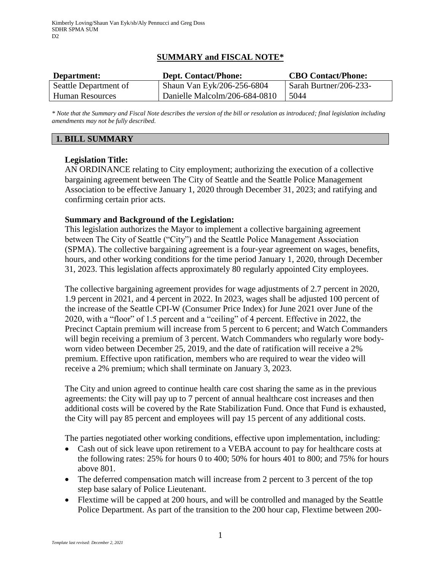# **SUMMARY and FISCAL NOTE\***

| Department:           | <b>Dept. Contact/Phone:</b>   |                        |
|-----------------------|-------------------------------|------------------------|
| Seattle Department of | Shaun Van Eyk/206-256-6804    | Sarah Burtner/206-233- |
| Human Resources       | Danielle Malcolm/206-684-0810 | 5044                   |

*\* Note that the Summary and Fiscal Note describes the version of the bill or resolution as introduced; final legislation including amendments may not be fully described.*

# **1. BILL SUMMARY**

## **Legislation Title:**

AN ORDINANCE relating to City employment; authorizing the execution of a collective bargaining agreement between The City of Seattle and the Seattle Police Management Association to be effective January 1, 2020 through December 31, 2023; and ratifying and confirming certain prior acts.

### **Summary and Background of the Legislation:**

This legislation authorizes the Mayor to implement a collective bargaining agreement between The City of Seattle ("City") and the Seattle Police Management Association (SPMA). The collective bargaining agreement is a four-year agreement on wages, benefits, hours, and other working conditions for the time period January 1, 2020, through December 31, 2023. This legislation affects approximately 80 regularly appointed City employees.

The collective bargaining agreement provides for wage adjustments of 2.7 percent in 2020, 1.9 percent in 2021, and 4 percent in 2022. In 2023, wages shall be adjusted 100 percent of the increase of the Seattle CPI-W (Consumer Price Index) for June 2021 over June of the 2020, with a "floor" of 1.5 percent and a "ceiling" of 4 percent. Effective in 2022, the Precinct Captain premium will increase from 5 percent to 6 percent; and Watch Commanders will begin receiving a premium of 3 percent. Watch Commanders who regularly wore bodyworn video between December 25, 2019, and the date of ratification will receive a 2% premium. Effective upon ratification, members who are required to wear the video will receive a 2% premium; which shall terminate on January 3, 2023.

The City and union agreed to continue health care cost sharing the same as in the previous agreements: the City will pay up to 7 percent of annual healthcare cost increases and then additional costs will be covered by the Rate Stabilization Fund. Once that Fund is exhausted, the City will pay 85 percent and employees will pay 15 percent of any additional costs.

The parties negotiated other working conditions, effective upon implementation, including:

- Cash out of sick leave upon retirement to a VEBA account to pay for healthcare costs at the following rates: 25% for hours 0 to 400; 50% for hours 401 to 800; and 75% for hours above 801.
- The deferred compensation match will increase from 2 percent to 3 percent of the top step base salary of Police Lieutenant.
- Flextime will be capped at 200 hours, and will be controlled and managed by the Seattle Police Department. As part of the transition to the 200 hour cap, Flextime between 200-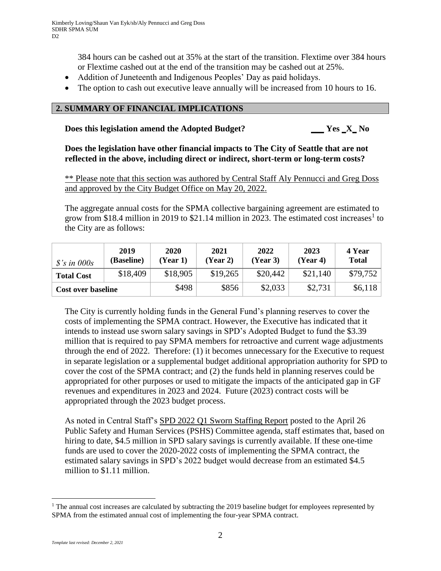384 hours can be cashed out at 35% at the start of the transition. Flextime over 384 hours or Flextime cashed out at the end of the transition may be cashed out at 25%.

- Addition of Juneteenth and Indigenous Peoples' Day as paid holidays.
- The option to cash out executive leave annually will be increased from 10 hours to 16.

## **2. SUMMARY OF FINANCIAL IMPLICATIONS**

#### **Does this legislation amend the Adopted Budget? \_\_\_ Yes \_X\_ No**

**Does the legislation have other financial impacts to The City of Seattle that are not reflected in the above, including direct or indirect, short-term or long-term costs?**

\*\* Please note that this section was authored by Central Staff Aly Pennucci and Greg Doss and approved by the City Budget Office on May 20, 2022.

The aggregate annual costs for the SPMA collective bargaining agreement are estimated to grow from \$18.4 million in 2019 to \$21.14 million in 2023. The estimated cost increases<sup>1</sup> to the City are as follows:

| $\frac{s}{s}$ in 000s     | 2019<br>(Baseline) | 2020<br>(Year 1) | 2021<br>(Year 2) | 2022<br>(Year 3) | 2023<br>(Year 4) | 4 Year<br><b>Total</b> |
|---------------------------|--------------------|------------------|------------------|------------------|------------------|------------------------|
| <b>Total Cost</b>         | \$18,409           | \$18,905         | \$19,265         | \$20,442         | \$21,140         | \$79,752               |
| <b>Cost over baseline</b> |                    | \$498            | \$856            | \$2,033          | \$2,731          | \$6,118                |

The City is currently holding funds in the General Fund's planning reserves to cover the costs of implementing the SPMA contract. However, the Executive has indicated that it intends to instead use sworn salary savings in SPD's Adopted Budget to fund the \$3.39 million that is required to pay SPMA members for retroactive and current wage adjustments through the end of 2022. Therefore: (1) it becomes unnecessary for the Executive to request in separate legislation or a supplemental budget additional appropriation authority for SPD to cover the cost of the SPMA contract; and (2) the funds held in planning reserves could be appropriated for other purposes or used to mitigate the impacts of the anticipated gap in GF revenues and expenditures in 2023 and 2024. Future (2023) contract costs will be appropriated through the 2023 budget process.

As noted in Central Staff's [SPD 2022 Q1 Sworn Staffing Report](http://seattle.legistar.com/gateway.aspx?M=F&ID=38eaae43-5035-4d5e-a996-d8d6dc39bd4d.pdf) posted to the April 26 Public Safety and Human Services (PSHS) Committee agenda, staff estimates that, based on hiring to date, \$4.5 million in SPD salary savings is currently available. If these one-time funds are used to cover the 2020-2022 costs of implementing the SPMA contract, the estimated salary savings in SPD's 2022 budget would decrease from an estimated \$4.5 million to \$1.11 million.

 $\overline{a}$ 

<sup>&</sup>lt;sup>1</sup> The annual cost increases are calculated by subtracting the 2019 baseline budget for employees represented by SPMA from the estimated annual cost of implementing the four-year SPMA contract.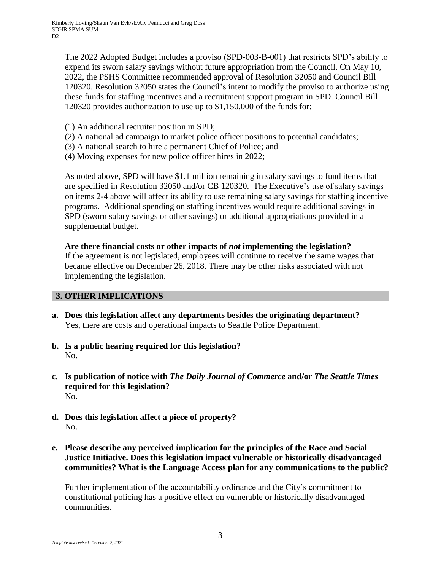The 2022 Adopted Budget includes a proviso (SPD-003-B-001) that restricts SPD's ability to expend its sworn salary savings without future appropriation from the Council. On May 10, 2022, the PSHS Committee recommended approval of Resolution 32050 and Council Bill 120320. Resolution 32050 states the Council's intent to modify the proviso to authorize using these funds for staffing incentives and a recruitment support program in SPD. Council Bill 120320 provides authorization to use up to \$1,150,000 of the funds for:

- (1) An additional recruiter position in SPD;
- (2) A national ad campaign to market police officer positions to potential candidates;
- (3) A national search to hire a permanent Chief of Police; and
- (4) Moving expenses for new police officer hires in 2022;

As noted above, SPD will have \$1.1 million remaining in salary savings to fund items that are specified in Resolution 32050 and/or CB 120320. The Executive's use of salary savings on items 2-4 above will affect its ability to use remaining salary savings for staffing incentive programs. Additional spending on staffing incentives would require additional savings in SPD (sworn salary savings or other savings) or additional appropriations provided in a supplemental budget.

**Are there financial costs or other impacts of** *not* **implementing the legislation?** If the agreement is not legislated, employees will continue to receive the same wages that became effective on December 26, 2018. There may be other risks associated with not implementing the legislation.

## **3. OTHER IMPLICATIONS**

- **a. Does this legislation affect any departments besides the originating department?** Yes, there are costs and operational impacts to Seattle Police Department.
- **b. Is a public hearing required for this legislation?** No.
- **c. Is publication of notice with** *The Daily Journal of Commerce* **and/or** *The Seattle Times* **required for this legislation?** No.
- **d. Does this legislation affect a piece of property?** No.
- **e. Please describe any perceived implication for the principles of the Race and Social Justice Initiative. Does this legislation impact vulnerable or historically disadvantaged communities? What is the Language Access plan for any communications to the public?**

Further implementation of the accountability ordinance and the City's commitment to constitutional policing has a positive effect on vulnerable or historically disadvantaged communities.